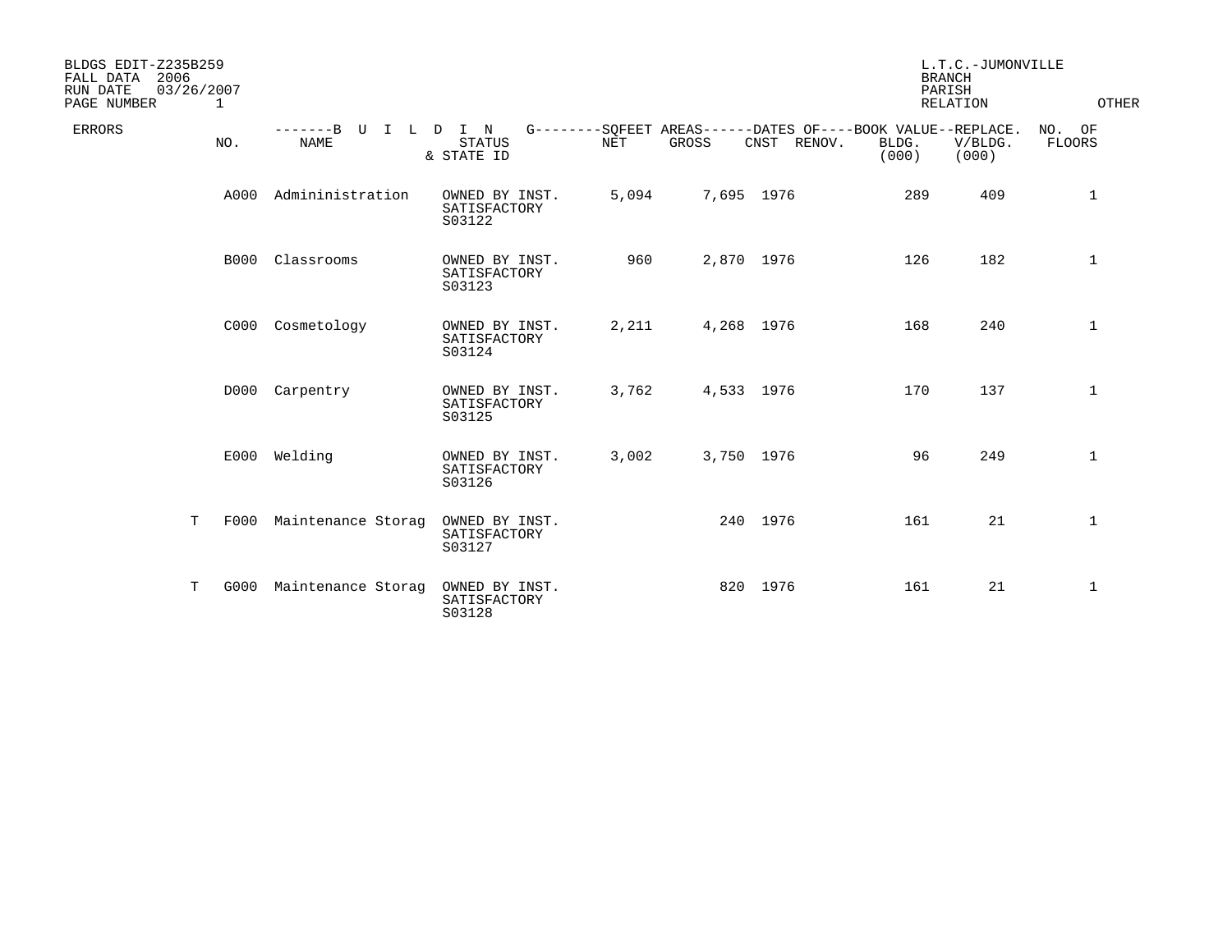| BLDGS EDIT-Z235B259<br>2006<br>FALL DATA<br>03/26/2007<br>RUN DATE<br>PAGE NUMBER<br>1 |                                        |                                          |       |       |                                                                               | PARISH         | L.T.C.-JUMONVILLE<br><b>BRANCH</b><br>RELATION | OTHER            |
|----------------------------------------------------------------------------------------|----------------------------------------|------------------------------------------|-------|-------|-------------------------------------------------------------------------------|----------------|------------------------------------------------|------------------|
| ERRORS<br>NO.                                                                          | $-----B$<br>U<br>$\top$<br><b>NAME</b> | L D I N<br><b>STATUS</b><br>& STATE ID   | NET   | GROSS | G--------SOFEET AREAS------DATES OF----BOOK VALUE--REPLACE.<br>CNST<br>RENOV. | BLDG.<br>(000) | V/BLDG.<br>(000)                               | NO. OF<br>FLOORS |
| A000                                                                                   | Admininistration                       | OWNED BY INST.<br>SATISFACTORY<br>S03122 | 5,094 |       | 7,695 1976                                                                    | 289            | 409                                            | $\mathbf 1$      |
| B000                                                                                   | Classrooms                             | OWNED BY INST.<br>SATISFACTORY<br>S03123 | 960   |       | 2,870 1976                                                                    | 126            | 182                                            | 1                |
| C000                                                                                   | Cosmetology                            | OWNED BY INST.<br>SATISFACTORY<br>S03124 | 2,211 |       | 4,268 1976                                                                    | 168            | 240                                            | 1                |
| D000                                                                                   | Carpentry                              | OWNED BY INST.<br>SATISFACTORY<br>S03125 | 3,762 |       | 4,533 1976                                                                    | 170            | 137                                            | $\mathbf{1}$     |
| E000                                                                                   | Welding                                | OWNED BY INST.<br>SATISFACTORY<br>S03126 | 3,002 |       | 3,750 1976                                                                    | 96             | 249                                            | $\mathbf 1$      |
| T<br>F000                                                                              | Maintenance Storag                     | OWNED BY INST.<br>SATISFACTORY<br>S03127 |       |       | 240 1976                                                                      | 161            | 21                                             | 1                |
| т<br>G000                                                                              | Maintenance Storag                     | OWNED BY INST.<br>SATISFACTORY<br>S03128 |       |       | 820 1976                                                                      | 161            | 21                                             | $\mathbf{1}$     |